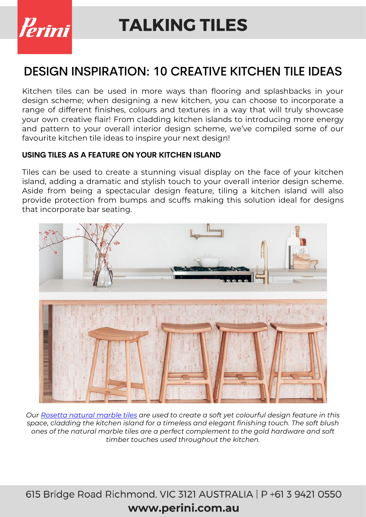

### DESIGN INSPIRATION: 10 CREATIVE KITCHEN TILE IDEAS

Kitchen tiles can be used in more ways than flooring and splashbacks in your design scheme; when designing a new kitchen, you can choose to incorporate a range of different finishes, colours and textures in a way that will truly showcase your own creative flair! From cladding kitchen islands to introducing more energy and pattern to your overall interior design scheme, we've compiled some of our favourite kitchen tile ideas to inspire your next design!

#### **USING TILES AS A FEATURE ON YOUR KITCHEN ISLAND**

Tiles can be used to create a stunning visual display on the face of your kitchen island, adding a dramatic and stylish touch to your overall interior design scheme. Aside from being a spectacular design feature, tiling a kitchen island will also provide protection from bumps and scuffs making this solution ideal for designs that incorporate bar seating.



*Our [Rosetta natural marble tiles](https://www.perini.com.au/collection/rosetta/) are used to create a soft yet colourful design feature in this space, cladding the kitchen island for a timeless and elegant finishing touch. The soft blush ones of the natural marble tiles are a perfect complement to the gold hardware and soft timber touches used throughout the kitchen.*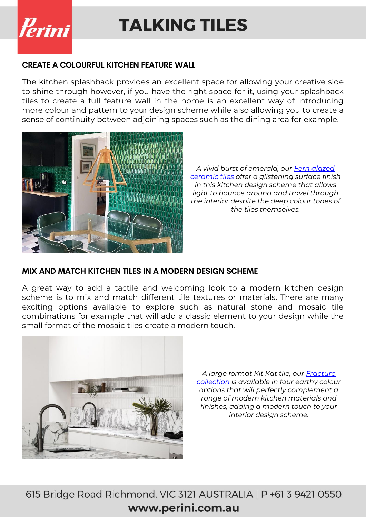

#### **CREATE A COLOURFUL KITCHEN FEATURE WALL**

The kitchen splashback provides an excellent space for allowing your creative side to shine through however, if you have the right space for it, using your splashback tiles to create a full feature wall in the home is an excellent way of introducing more colour and pattern to your design scheme while also allowing you to create a sense of continuity between adjoining spaces such as the dining area for example.



*A vivid burst of emerald, our [Fern glazed](https://www.perini.com.au/collection/fern/)  [ceramic tiles](https://www.perini.com.au/collection/fern/) offer a glistening surface finish in this kitchen design scheme that allows light to bounce around and travel through the interior despite the deep colour tones of the tiles themselves.*

#### **MIX AND MATCH KITCHEN TILES IN A MODERN DESIGN SCHEME**

A great way to add a tactile and welcoming look to a modern kitchen design scheme is to mix and match different tile textures or materials. There are many exciting options available to explore such as natural stone and mosaic tile combinations for example that will add a classic element to your design while the small format of the mosaic tiles create a modern touch.



*A large format Kit Kat tile, our [Fracture](https://www.perini.com.au/collection/fracture/)  [collection](https://www.perini.com.au/collection/fracture/) is available in four earthy colour options that will perfectly complement a range of modern kitchen materials and finishes, adding a modern touch to your interior design scheme.*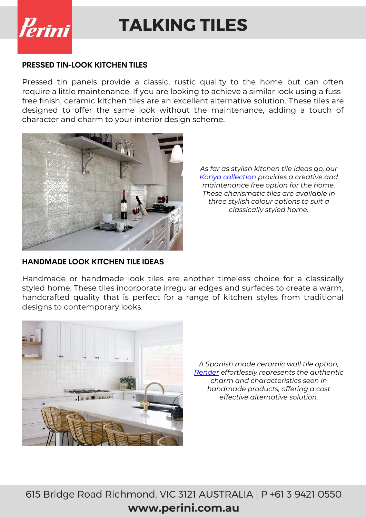

#### **PRESSED TIN-LOOK KITCHEN TILES**

Pressed tin panels provide a classic, rustic quality to the home but can often require a little maintenance. If you are looking to achieve a similar look using a fussfree finish, ceramic kitchen tiles are an excellent alternative solution. These tiles are designed to offer the same look without the maintenance, adding a touch of character and charm to your interior design scheme.



*As far as stylish kitchen tile ideas go, our [Konya collection](https://www.perini.com.au/collection/konya/) provides a creative and maintenance free option for the home. These charismatic tiles are available in three stylish colour options to suit a classically styled home.*

#### **HANDMADE LOOK KITCHEN TILE IDEAS**

Handmade or handmade look tiles are another timeless choice for a classically styled home. These tiles incorporate irregular edges and surfaces to create a warm, handcrafted quality that is perfect for a range of kitchen styles from traditional designs to contemporary looks.



*A Spanish made ceramic wall tile option, [Render](https://www.perini.com.au/collection/render/) effortlessly represents the authentic charm and characteristics seen in handmade products, offering a cost effective alternative solution.*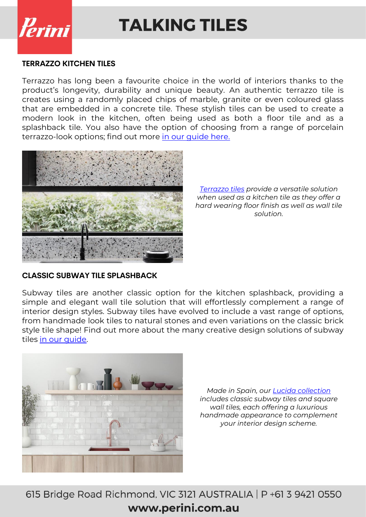

#### **TERRAZZO KITCHEN TILES**

Terrazzo has long been a favourite choice in the world of interiors thanks to the product's longevity, durability and unique beauty. An authentic terrazzo tile is creates using a randomly placed chips of marble, granite or even coloured glass that are embedded in a concrete tile. These stylish tiles can be used to create a modern look in the kitchen, often being used as both a floor tile and as a splashback tile. You also have the option of choosing from a range of porcelain terrazzo-look options; find out more [in our guide here.](https://www.perini.com.au/whats-the-difference-between-real-terrazzo-terrazzo-look-tiles/)



*[Terrazzo tiles](https://www.perini.com.au/collection/terrazzo/) provide a versatile solution when used as a kitchen tile as they offer a hard wearing floor finish as well as wall tile solution.*

#### **CLASSIC SUBWAY TILE SPLASHBACK**

Subway tiles are another classic option for the kitchen splashback, providing a simple and elegant wall tile solution that will effortlessly complement a range of interior design styles. Subway tiles have evolved to include a vast range of options, from handmade look tiles to natural stones and even variations on the classic brick style tile shape! Find out more about the many creative design solutions of subway tiles in our quide.



*Made in Spain, our [Lucida collection](https://www.perini.com.au/collection/lucida/) includes classic subway tiles and square wall tiles, each offering a luxurious handmade appearance to complement your interior design scheme.*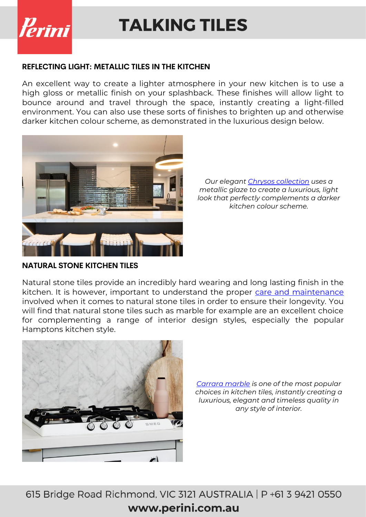

#### **REFLECTING LIGHT: METALLIC TILES IN THE KITCHEN**

An excellent way to create a lighter atmosphere in your new kitchen is to use a high gloss or metallic finish on your splashback. These finishes will allow light to bounce around and travel through the space, instantly creating a light-filled environment. You can also use these sorts of finishes to brighten up and otherwise darker kitchen colour scheme, as demonstrated in the luxurious design below.



*Our elegant [Chrysos collection](https://www.perini.com.au/collection/chrysos/) uses a metallic glaze to create a luxurious, light look that perfectly complements a darker kitchen colour scheme.*

**NATURAL STONE KITCHEN TILES**

Natural stone tiles provide an incredibly hard wearing and long lasting finish in the kitchen. It is however, important to understand the proper [care and maintenance](https://www.perini.com.au/resources/) involved when it comes to natural stone tiles in order to ensure their longevity. You will find that natural stone tiles such as marble for example are an excellent choice for complementing a range of interior design styles, especially the popular Hamptons kitchen style.



*[Carrara marble](https://www.perini.com.au/collection/carrara/) is one of the most popular choices in kitchen tiles, instantly creating a luxurious, elegant and timeless quality in any style of interior.*